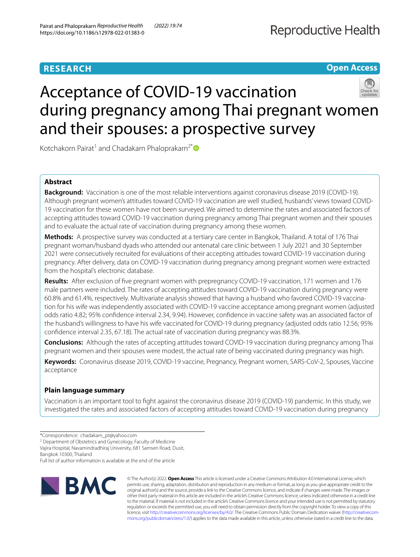# **RESEARCH**

## **Open Access**

# Acceptance of COVID-19 vaccination during pregnancy among Thai pregnant women and their spouses: a prospective survey

Kotchakorn Pairat<sup>1</sup> and Chadakarn Phaloprakarn<sup>2[\\*](http://orcid.org/0000-0002-0925-2613)</sup>

## **Abstract**

**Background:** Vaccination is one of the most reliable interventions against coronavirus disease 2019 (COVID-19). Although pregnant women's attitudes toward COVID-19 vaccination are well studied, husbands' views toward COVID-19 vaccination for these women have not been surveyed. We aimed to determine the rates and associated factors of accepting attitudes toward COVID-19 vaccination during pregnancy among Thai pregnant women and their spouses and to evaluate the actual rate of vaccination during pregnancy among these women.

**Methods:** A prospective survey was conducted at a tertiary care center in Bangkok, Thailand. A total of 176 Thai pregnant woman/husband dyads who attended our antenatal care clinic between 1 July 2021 and 30 September 2021 were consecutively recruited for evaluations of their accepting attitudes toward COVID-19 vaccination during pregnancy. After delivery, data on COVID-19 vaccination during pregnancy among pregnant women were extracted from the hospital's electronic database.

**Results:** After exclusion of fve pregnant women with prepregnancy COVID-19 vaccination, 171 women and 176 male partners were included. The rates of accepting attitudes toward COVID-19 vaccination during pregnancy were 60.8% and 61.4%, respectively. Multivariate analysis showed that having a husband who favored COVID-19 vaccination for his wife was independently associated with COVID-19 vaccine acceptance among pregnant women (adjusted odds ratio 4.82; 95% confdence interval 2.34, 9.94). However, confdence in vaccine safety was an associated factor of the husband's willingness to have his wife vaccinated for COVID-19 during pregnancy (adjusted odds ratio 12.56; 95% confdence interval 2.35, 67.18). The actual rate of vaccination during pregnancy was 88.3%.

**Conclusions:** Although the rates of accepting attitudes toward COVID-19 vaccination during pregnancy among Thai pregnant women and their spouses were modest, the actual rate of being vaccinated during pregnancy was high.

**Keywords:** Coronavirus disease 2019, COVID-19 vaccine, Pregnancy, Pregnant women, SARS-CoV-2, Spouses, Vaccine acceptance

## **Plain language summary**

Vaccination is an important tool to fght against the coronavirus disease 2019 (COVID-19) pandemic. In this study, we investigated the rates and associated factors of accepting attitudes toward COVID-19 vaccination during pregnancy

<sup>2</sup> Department of Obstetrics and Gynecology, Faculty of Medicine

Bangkok 10300, Thailand

Full list of author information is available at the end of the article



© The Author(s) 2022. **Open Access** This article is licensed under a Creative Commons Attribution 4.0 International License, which permits use, sharing, adaptation, distribution and reproduction in any medium or format, as long as you give appropriate credit to the original author(s) and the source, provide a link to the Creative Commons licence, and indicate if changes were made. The images or other third party material in this article are included in the article's Creative Commons licence, unless indicated otherwise in a credit line to the material. If material is not included in the article's Creative Commons licence and your intended use is not permitted by statutory regulation or exceeds the permitted use, you will need to obtain permission directly from the copyright holder. To view a copy of this licence, visit [http://creativecommons.org/licenses/by/4.0/.](http://creativecommons.org/licenses/by/4.0/) The Creative Commons Public Domain Dedication waiver ([http://creativecom](http://creativecommons.org/publicdomain/zero/1.0/)[mons.org/publicdomain/zero/1.0/\)](http://creativecommons.org/publicdomain/zero/1.0/) applies to the data made available in this article, unless otherwise stated in a credit line to the data.

<sup>\*</sup>Correspondence: chadakarn\_pt@yahoo.com

Vajira Hospital, Navamindradhiraj University, 681 Samsen Road, Dusit,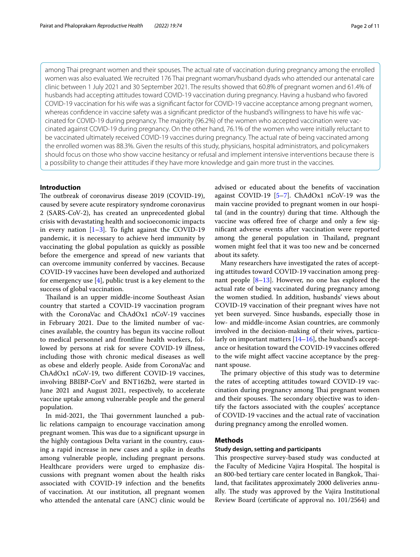among Thai pregnant women and their spouses. The actual rate of vaccination during pregnancy among the enrolled women was also evaluated. We recruited 176 Thai pregnant woman/husband dyads who attended our antenatal care clinic between 1 July 2021 and 30 September 2021. The results showed that 60.8% of pregnant women and 61.4% of husbands had accepting attitudes toward COVID-19 vaccination during pregnancy. Having a husband who favored COVID-19 vaccination for his wife was a signifcant factor for COVID-19 vaccine acceptance among pregnant women, whereas confdence in vaccine safety was a signifcant predictor of the husband's willingness to have his wife vaccinated for COVID-19 during pregnancy. The majority (96.2%) of the women who accepted vaccination were vaccinated against COVID-19 during pregnancy. On the other hand, 76.1% of the women who were initially reluctant to be vaccinated ultimately received COVID-19 vaccines during pregnancy. The actual rate of being vaccinated among the enrolled women was 88.3%. Given the results of this study, physicians, hospital administrators, and policymakers should focus on those who show vaccine hesitancy or refusal and implement intensive interventions because there is a possibility to change their attitudes if they have more knowledge and gain more trust in the vaccines.

## **Introduction**

The outbreak of coronavirus disease 2019 (COVID-19), caused by severe acute respiratory syndrome coronavirus 2 (SARS-CoV-2), has created an unprecedented global crisis with devastating health and socioeconomic impacts in every nation  $[1-3]$  $[1-3]$ . To fight against the COVID-19 pandemic, it is necessary to achieve herd immunity by vaccinating the global population as quickly as possible before the emergence and spread of new variants that can overcome immunity conferred by vaccines. Because COVID-19 vaccines have been developed and authorized for emergency use  $[4]$  $[4]$ , public trust is a key element to the success of global vaccination.

Thailand is an upper middle-income Southeast Asian country that started a COVID-19 vaccination program with the CoronaVac and ChAdOx1 nCoV-19 vaccines in February 2021. Due to the limited number of vaccines available, the country has begun its vaccine rollout to medical personnel and frontline health workers, followed by persons at risk for severe COVID-19 illness, including those with chronic medical diseases as well as obese and elderly people. Aside from CoronaVac and ChAdOx1 nCoV-19, two diferent COVID-19 vaccines, involving BBIBP-CorV and BNT162b2, were started in June 2021 and August 2021, respectively, to accelerate vaccine uptake among vulnerable people and the general population.

In mid-2021, the Thai government launched a public relations campaign to encourage vaccination among pregnant women. This was due to a significant upsurge in the highly contagious Delta variant in the country, causing a rapid increase in new cases and a spike in deaths among vulnerable people, including pregnant persons. Healthcare providers were urged to emphasize discussions with pregnant women about the health risks associated with COVID-19 infection and the benefts of vaccination. At our institution, all pregnant women who attended the antenatal care (ANC) clinic would be advised or educated about the benefts of vaccination against COVID-19 [[5](#page-10-3)[–7](#page-10-4)]. ChAdOx1 nCoV-19 was the main vaccine provided to pregnant women in our hospital (and in the country) during that time. Although the vaccine was offered free of charge and only a few signifcant adverse events after vaccination were reported among the general population in Thailand, pregnant women might feel that it was too new and be concerned about its safety.

Many researchers have investigated the rates of accepting attitudes toward COVID-19 vaccination among pregnant people [[8–](#page-10-5)[13\]](#page-10-6). However, no one has explored the actual rate of being vaccinated during pregnancy among the women studied. In addition, husbands' views about COVID-19 vaccination of their pregnant wives have not yet been surveyed. Since husbands, especially those in low- and middle-income Asian countries, are commonly involved in the decision-making of their wives, particularly on important matters [\[14–](#page-10-7)[16\]](#page-10-8), the husband's acceptance or hesitation toward the COVID-19 vaccines ofered to the wife might afect vaccine acceptance by the pregnant spouse.

The primary objective of this study was to determine the rates of accepting attitudes toward COVID-19 vaccination during pregnancy among Thai pregnant women and their spouses. The secondary objective was to identify the factors associated with the couples' acceptance of COVID-19 vaccines and the actual rate of vaccination during pregnancy among the enrolled women.

#### **Methods**

#### **Study design, setting and participants**

This prospective survey-based study was conducted at the Faculty of Medicine Vajira Hospital. The hospital is an 800-bed tertiary care center located in Bangkok, Tailand, that facilitates approximately 2000 deliveries annually. The study was approved by the Vajira Institutional Review Board (certifcate of approval no. 101/2564) and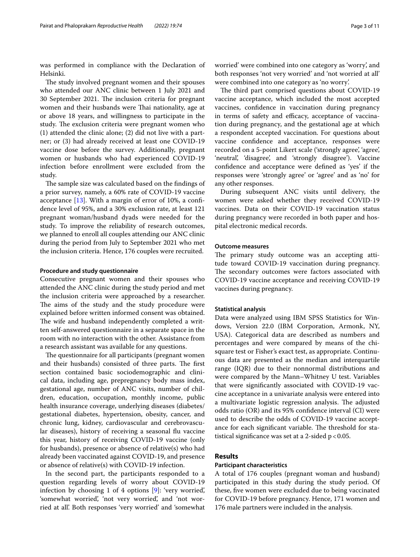was performed in compliance with the Declaration of Helsinki.

The study involved pregnant women and their spouses who attended our ANC clinic between 1 July 2021 and 30 September 2021. The inclusion criteria for pregnant women and their husbands were Thai nationality, age at or above 18 years, and willingness to participate in the study. The exclusion criteria were pregnant women who (1) attended the clinic alone; (2) did not live with a partner; or (3) had already received at least one COVID-19 vaccine dose before the survey. Additionally, pregnant women or husbands who had experienced COVID-19 infection before enrollment were excluded from the study.

The sample size was calculated based on the findings of a prior survey, namely, a 60% rate of COVID-19 vaccine acceptance  $[13]$ . With a margin of error of 10%, a confidence level of 95%, and a 30% exclusion rate, at least 121 pregnant woman/husband dyads were needed for the study. To improve the reliability of research outcomes, we planned to enroll all couples attending our ANC clinic during the period from July to September 2021 who met the inclusion criteria. Hence, 176 couples were recruited.

#### **Procedure and study questionnaire**

Consecutive pregnant women and their spouses who attended the ANC clinic during the study period and met the inclusion criteria were approached by a researcher. The aims of the study and the study procedure were explained before written informed consent was obtained. The wife and husband independently completed a written self-answered questionnaire in a separate space in the room with no interaction with the other. Assistance from a research assistant was available for any questions.

The questionnaire for all participants (pregnant women and their husbands) consisted of three parts. The first section contained basic sociodemographic and clinical data, including age, prepregnancy body mass index, gestational age, number of ANC visits, number of children, education, occupation, monthly income, public health insurance coverage, underlying diseases (diabetes/ gestational diabetes, hypertension, obesity, cancer, and chronic lung, kidney, cardiovascular and cerebrovascular diseases), history of receiving a seasonal fu vaccine this year, history of receiving COVID-19 vaccine (only for husbands), presence or absence of relative(s) who had already been vaccinated against COVID-19, and presence or absence of relative(s) with COVID-19 infection.

In the second part, the participants responded to a question regarding levels of worry about COVID-19 infection by choosing 1 of 4 options [\[9](#page-10-9)]: 'very worried', 'somewhat worried', 'not very worried', and 'not worried at all'. Both responses 'very worried' and 'somewhat worried' were combined into one category as 'worry', and both responses 'not very worried' and 'not worried at all' were combined into one category as 'no worry'.

The third part comprised questions about COVID-19 vaccine acceptance, which included the most accepted vaccines, confdence in vaccination during pregnancy in terms of safety and efficacy, acceptance of vaccination during pregnancy, and the gestational age at which a respondent accepted vaccination. For questions about vaccine confdence and acceptance, responses were recorded on a 5-point Likert scale ('strongly agree', 'agree', 'neutral', 'disagree', and 'strongly disagree'). Vaccine confdence and acceptance were defned as 'yes' if the responses were 'strongly agree' or 'agree' and as 'no' for any other responses.

During subsequent ANC visits until delivery, the women were asked whether they received COVID-19 vaccines. Data on their COVID-19 vaccination status during pregnancy were recorded in both paper and hospital electronic medical records.

#### **Outcome measures**

The primary study outcome was an accepting attitude toward COVID-19 vaccination during pregnancy. The secondary outcomes were factors associated with COVID-19 vaccine acceptance and receiving COVID-19 vaccines during pregnancy.

#### **Statistical analysis**

Data were analyzed using IBM SPSS Statistics for Windows, Version 22.0 (IBM Corporation, Armonk, NY, USA). Categorical data are described as numbers and percentages and were compared by means of the chisquare test or Fisher's exact test, as appropriate. Continuous data are presented as the median and interquartile range (IQR) due to their nonnormal distributions and were compared by the Mann–Whitney U test. Variables that were signifcantly associated with COVID-19 vaccine acceptance in a univariate analysis were entered into a multivariate logistic regression analysis. The adjusted odds ratio (OR) and its 95% confdence interval (CI) were used to describe the odds of COVID-19 vaccine acceptance for each significant variable. The threshold for statistical significance was set at a 2-sided  $p < 0.05$ .

## **Results**

#### **Participant characteristics**

A total of 176 couples (pregnant woman and husband) participated in this study during the study period. Of these, fve women were excluded due to being vaccinated for COVID-19 before pregnancy. Hence, 171 women and 176 male partners were included in the analysis.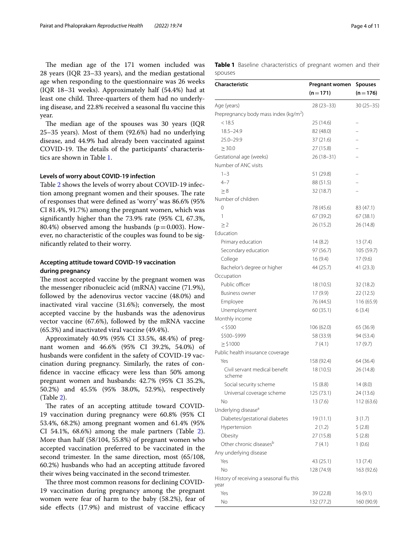The median age of the 171 women included was 28 years (IQR 23–33 years), and the median gestational age when responding to the questionnaire was 26 weeks (IQR 18–31 weeks). Approximately half (54.4%) had at least one child. Three-quarters of them had no underlying disease, and 22.8% received a seasonal fu vaccine this year.

The median age of the spouses was 30 years (IQR) 25–35 years). Most of them (92.6%) had no underlying disease, and 44.9% had already been vaccinated against COVID-19. The details of the participants' characteristics are shown in Table [1](#page-3-0).

#### **Levels of worry about COVID‑19 infection**

Table [2](#page-5-0) shows the levels of worry about COVID-19 infection among pregnant women and their spouses. The rate of responses that were defned as 'worry' was 86.6% (95% CI 81.4%, 91.7%) among the pregnant women, which was signifcantly higher than the 73.9% rate (95% CI, 67.3%, 80.4%) observed among the husbands ( $p=0.003$ ). However, no characteristic of the couples was found to be signifcantly related to their worry.

## **Accepting attitude toward COVID‑19 vaccination during pregnancy**

The most accepted vaccine by the pregnant women was the messenger ribonucleic acid (mRNA) vaccine (71.9%), followed by the adenovirus vector vaccine (48.0%) and inactivated viral vaccine (31.6%); conversely, the most accepted vaccine by the husbands was the adenovirus vector vaccine (67.6%), followed by the mRNA vaccine (65.3%) and inactivated viral vaccine (49.4%).

Approximately 40.9% (95% CI 33.5%, 48.4%) of pregnant women and 46.6% (95% CI 39.2%, 54.0%) of husbands were confdent in the safety of COVID-19 vaccination during pregnancy. Similarly, the rates of confidence in vaccine efficacy were less than 50% among pregnant women and husbands: 42.7% (95% CI 35.2%, 50.2%) and 45.5% (95% 38.0%, 52.9%), respectively (Table [2](#page-5-0)).

The rates of an accepting attitude toward COVID-19 vaccination during pregnancy were 60.8% (95% CI 53.4%, 68.2%) among pregnant women and 61.4% (95% CI 54.1%, 68.6%) among the male partners (Table [2](#page-5-0)). More than half (58/104, 55.8%) of pregnant women who accepted vaccination preferred to be vaccinated in the second trimester. In the same direction, most (65/108, 60.2%) husbands who had an accepting attitude favored their wives being vaccinated in the second trimester.

The three most common reasons for declining COVID-19 vaccination during pregnancy among the pregnant women were fear of harm to the baby (58.2%), fear of side effects (17.9%) and mistrust of vaccine efficacy <span id="page-3-0"></span>**Table 1** Baseline characteristics of pregnant women and their spouses

| <b>Characteristic</b>                             | Pregnant women | <b>Spouses</b> |
|---------------------------------------------------|----------------|----------------|
|                                                   | $(n=171)$      | $(n=176)$      |
| Age (years)                                       | $28(23-33)$    | $30(25 - 35)$  |
| Prepregnancy body mass index (kg/m <sup>2</sup> ) |                |                |
| < 18.5                                            | 25 (14.6)      |                |
| $18.5 - 24.9$                                     | 82 (48.0)      |                |
| 25.0-29.9                                         | 37 (21.6)      |                |
| $\geq 30.0$                                       | 27 (15.8)      |                |
| Gestational age (weeks)                           | 26 (18-31)     |                |
| Number of ANC visits                              |                |                |
| $1 - 3$                                           | 51 (29.8)      |                |
| $4 - 7$                                           | 88 (51.5)      |                |
| $\geq 8$                                          | 32 (18.7)      |                |
| Number of children                                |                |                |
| 0                                                 | 78 (45.6)      | 83 (47.1)      |
| 1                                                 | 67 (39.2)      | 67 (38.1)      |
| $\geq$ 2                                          | 26 (15.2)      | 26 (14.8)      |
| Education                                         |                |                |
|                                                   |                |                |
| Primary education                                 | 14(8.2)        | 13(7.4)        |
| Secondary education                               | 97 (56.7)      | 105 (59.7)     |
| College                                           | 16(9.4)        | 17(9.6)        |
| Bachelor's degree or higher                       | 44 (25.7)      | 41 (23.3)      |
| Occupation                                        |                |                |
| Public officer                                    | 18 (10.5)      | 32 (18.2)      |
| <b>Business owner</b>                             | 17 (9.9)       | 22 (12.5)      |
| Employee                                          | 76 (44.5)      | 116 (65.9)     |
| Unemployment                                      | 60 (35.1)      | 6(3.4)         |
| Monthly income                                    |                |                |
| $<$ \$500                                         | 106 (62.0)     | 65 (36.9)      |
| \$500-\$999                                       | 58 (33.9)      | 94 (53.4)      |
| $\ge$ \$1000                                      | 7(4.1)         | 17(9.7)        |
| Public health insurance coverage                  |                |                |
| Yes                                               | 158 (92.4)     | 64 (36.4)      |
| Civil servant medical benefit<br>scheme           | 18 (10.5)      | 26 (14.8)      |
| Social security scheme                            | 15(8.8)        | 14(8.0)        |
| Universal coverage scheme                         | 125 (73.1)     | 24 (13.6)      |
| Νo                                                | 13 (7.6)       | 112 (63.6)     |
| Underlying disease <sup>a</sup>                   |                |                |
| Diabetes/gestational diabetes                     | 19 (11.1)      | 3(1.7)         |
| Hypertension                                      | 2(1.2)         | 5(2.8)         |
| Obesity                                           | 27 (15.8)      | 5(2.8)         |
| Other chronic diseases <sup>b</sup>               | 7 (4.1)        | 1(0.6)         |
| Any underlying disease                            |                |                |
| Yes                                               | 43 (25.1)      | 13(7.4)        |
| No                                                | 128 (74.9)     | 163 (92.6)     |
| History of receiving a seasonal flu this<br>year  |                |                |
| Yes                                               | 39 (22.8)      | 16 (9.1)       |
| No                                                | 132 (77.2)     | 160 (90.9)     |
|                                                   |                |                |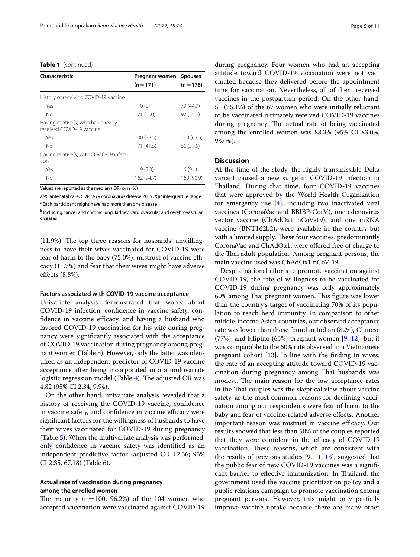#### **Table 1** (continued)

| Characteristic                                                  | Pregnant women Spouses |            |
|-----------------------------------------------------------------|------------------------|------------|
|                                                                 | $(n=171)$              | $(n=176)$  |
| History of receiving COVID-19 vaccine                           |                        |            |
| Yes                                                             | 0(0)                   | 79 (44.9)  |
| Nο                                                              | 171 (100)              | 97(55.1)   |
| Having relative(s) who had already<br>received COVID-19 vaccine |                        |            |
| Yes                                                             | 100 (58.5)             | 110(62.5)  |
| No                                                              | 71 (41.5)              | 66 (37.5)  |
| Having relative(s) with COVID-19 infec-<br>tion                 |                        |            |
| Yes                                                             | 9(5.3)                 | 16(9.1)    |
| No                                                              | 162 (94.7)             | 160 (90.9) |

Values are reported as the median (IQR) or n (%)

*ANC* antenatal care, *COVID-19* coronavirus disease 2019, *IQR* interquartile range <sup>a</sup> Each participant might have had more than one disease

**b** Including cancer and chronic lung, kidney, cardiovascular and cerebrovascular diseases

 $(11.9\%)$ . The top three reasons for husbands' unwillingness to have their wives vaccinated for COVID-19 were fear of harm to the baby (75.0%), mistrust of vaccine efficacy (11.7%) and fear that their wives might have adverse efects (8.8%).

#### **Factors associated with COVID‑19 vaccine acceptance**

Univariate analysis demonstrated that worry about COVID-19 infection, confdence in vaccine safety, confidence in vaccine efficacy, and having a husband who favored COVID-19 vaccination for his wife during pregnancy were signifcantly associated with the acceptance of COVID-19 vaccination during pregnancy among pregnant women (Table [3](#page-6-0)). However, only the latter was identifed as an independent predictor of COVID-19 vaccine acceptance after being incorporated into a multivariate logistic regression model (Table  $4$ ). The adjusted OR was 4.82 (95% CI 2.34, 9.94).

On the other hand, univariate analysis revealed that a history of receiving the COVID-19 vaccine, confdence in vaccine safety, and confidence in vaccine efficacy were signifcant factors for the willingness of husbands to have their wives vaccinated for COVID-19 during pregnancy (Table [5\)](#page-8-0). When the multivariate analysis was performed, only confdence in vaccine safety was identifed as an independent predictive factor (adjusted OR 12.56; 95% CI 2.35, 67.18) (Table [6\)](#page-9-0).

#### **Actual rate of vaccination during pregnancy among the enrolled women**

The majority  $(n=100, 96.2%)$  of the 104 women who accepted vaccination were vaccinated against COVID-19 during pregnancy. Four women who had an accepting attitude toward COVID-19 vaccination were not vaccinated because they delivered before the appointment time for vaccination. Nevertheless, all of them received vaccines in the postpartum period. On the other hand, 51 (76.1%) of the 67 women who were initially reluctant to be vaccinated ultimately received COVID-19 vaccines during pregnancy. The actual rate of being vaccinated among the enrolled women was 88.3% (95% CI 83.0%, 93.0%).

#### **Discussion**

At the time of the study, the highly transmissible Delta variant caused a new surge in COVID-19 infection in Thailand. During that time, four COVID-19 vaccines that were approved by the World Health Organization for emergency use  $[4]$  $[4]$ , including two inactivated viral vaccines (CoronaVac and BBIBP-CorV), one adenovirus vector vaccine (ChAdOx1 nCoV-19), and one mRNA vaccine (BNT162b2), were available in the country but with a limited supply. These four vaccines, predominantly CoronaVac and ChAdOx1, were ofered free of charge to the Thai adult population. Among pregnant persons, the main vaccine used was ChAdOx1 nCoV-19.

Despite national efforts to promote vaccination against COVID-19, the rate of willingness to be vaccinated for COVID-19 during pregnancy was only approximately 60% among Thai pregnant women. This figure was lower than the country's target of vaccinating 70% of its population to reach herd immunity. In comparison to other middle-income Asian countries, our observed acceptance rate was lower than those found in Indian (82%), Chinese (77%), and Filipino (65%) pregnant women  $[9, 12]$  $[9, 12]$  $[9, 12]$  $[9, 12]$ , but it was comparable to the 60% rate observed in a Vietnamese pregnant cohort [[13](#page-10-6)]. In line with the fnding in wives, the rate of an accepting attitude toward COVID-19 vaccination during pregnancy among Thai husbands was modest. The main reason for the low acceptance rates in the Thai couples was the skeptical view about vaccine safety, as the most common reasons for declining vaccination among our respondents were fear of harm to the baby and fear of vaccine-related adverse efects. Another important reason was mistrust in vaccine efficacy. Our results showed that less than 50% of the couples reported that they were confident in the efficacy of COVID-19 vaccination. These reasons, which are consistent with the results of previous studies [\[9](#page-10-9), [11,](#page-10-11) [13\]](#page-10-6), suggested that the public fear of new COVID-19 vaccines was a signifcant barrier to effective immunization. In Thailand, the government used the vaccine prioritization policy and a public relations campaign to promote vaccination among pregnant persons. However, this might only partially improve vaccine uptake because there are many other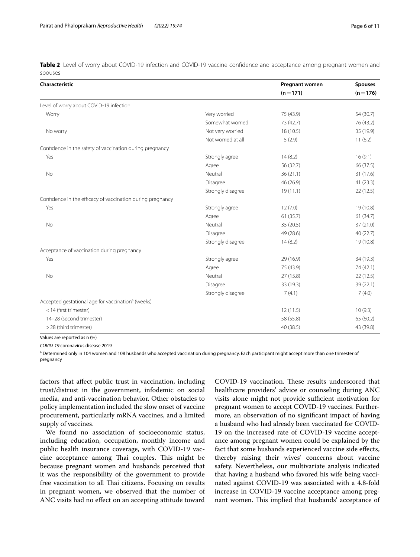<span id="page-5-0"></span>**Table 2** Level of worry about COVID-19 infection and COVID-19 vaccine confidence and acceptance among pregnant women and spouses

| Characteristic                                                |                    | Pregnant women | <b>Spouses</b> |
|---------------------------------------------------------------|--------------------|----------------|----------------|
|                                                               |                    | $(n = 171)$    | $(n = 176)$    |
| Level of worry about COVID-19 infection                       |                    |                |                |
| Worry                                                         | Very worried       | 75 (43.9)      | 54 (30.7)      |
|                                                               | Somewhat worried   | 73 (42.7)      | 76 (43.2)      |
| No worry                                                      | Not very worried   | 18(10.5)       | 35 (19.9)      |
|                                                               | Not worried at all | 5(2.9)         | 11(6.2)        |
| Confidence in the safety of vaccination during pregnancy      |                    |                |                |
| Yes                                                           | Strongly agree     | 14(8.2)        | 16(9.1)        |
|                                                               | Agree              | 56 (32.7)      | 66 (37.5)      |
| No                                                            | Neutral            | 36(21.1)       | 31 (17.6)      |
|                                                               | Disagree           | 46 (26.9)      | 41(23.3)       |
|                                                               | Strongly disagree  | 19(11.1)       | 22(12.5)       |
| Confidence in the efficacy of vaccination during pregnancy    |                    |                |                |
| Yes                                                           | Strongly agree     | 12(7.0)        | 19 (10.8)      |
|                                                               | Agree              | 61(35.7)       | 61(34.7)       |
| No                                                            | Neutral            | 35 (20.5)      | 37 (21.0)      |
|                                                               | Disagree           | 49 (28.6)      | 40(22.7)       |
|                                                               | Strongly disagree  | 14(8.2)        | 19 (10.8)      |
| Acceptance of vaccination during pregnancy                    |                    |                |                |
| Yes                                                           | Strongly agree     | 29 (16.9)      | 34 (19.3)      |
|                                                               | Agree              | 75 (43.9)      | 74 (42.1)      |
| <b>No</b>                                                     | Neutral            | 27 (15.8)      | 22(12.5)       |
|                                                               | Disagree           | 33 (19.3)      | 39 (22.1)      |
|                                                               | Strongly disagree  | 7(4.1)         | 7(4.0)         |
| Accepted gestational age for vaccination <sup>a</sup> (weeks) |                    |                |                |
| <14 (first trimester)                                         |                    | 12(11.5)       | 10(9.3)        |
| 14-28 (second trimester)                                      |                    | 58 (55.8)      | 65 (60.2)      |
| >28 (third trimester)                                         |                    | 40 (38.5)      | 43 (39.8)      |

Values are reported as n (%)

*COVID-19* coronavirus disease 2019

<sup>a</sup> Determined only in 104 women and 108 husbands who accepted vaccination during pregnancy. Each participant might accept more than one trimester of pregnancy

factors that afect public trust in vaccination, including trust/distrust in the government, infodemic on social media, and anti-vaccination behavior. Other obstacles to policy implementation included the slow onset of vaccine procurement, particularly mRNA vaccines, and a limited supply of vaccines.

We found no association of socioeconomic status, including education, occupation, monthly income and public health insurance coverage, with COVID-19 vaccine acceptance among Thai couples. This might be because pregnant women and husbands perceived that it was the responsibility of the government to provide free vaccination to all Thai citizens. Focusing on results in pregnant women, we observed that the number of ANC visits had no effect on an accepting attitude toward COVID-19 vaccination. These results underscored that healthcare providers' advice or counseling during ANC visits alone might not provide sufficient motivation for pregnant women to accept COVID-19 vaccines. Furthermore, an observation of no signifcant impact of having a husband who had already been vaccinated for COVID-19 on the increased rate of COVID-19 vaccine acceptance among pregnant women could be explained by the fact that some husbands experienced vaccine side effects, thereby raising their wives' concerns about vaccine safety. Nevertheless, our multivariate analysis indicated that having a husband who favored his wife being vaccinated against COVID-19 was associated with a 4.8-fold increase in COVID-19 vaccine acceptance among pregnant women. This implied that husbands' acceptance of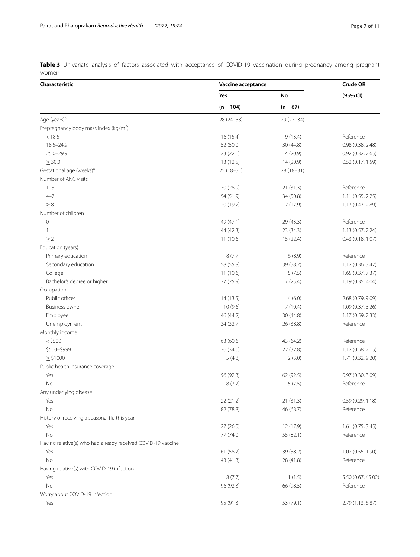<span id="page-6-0"></span>**Table 3** Univariate analysis of factors associated with acceptance of COVID-19 vaccination during pregnancy among pregnant women

| Characteristic                                               | Vaccine acceptance |               | <b>Crude OR</b>    |
|--------------------------------------------------------------|--------------------|---------------|--------------------|
|                                                              | Yes                | No            | (95% CI)           |
|                                                              | $(n = 104)$        | $(n=67)$      |                    |
| Age (years) <sup>a</sup>                                     | 28 (24-33)         | $29(23 - 34)$ |                    |
| Prepregnancy body mass index (kg/m <sup>2</sup> )            |                    |               |                    |
| < 18.5                                                       | 16 (15.4)          | 9(13.4)       | Reference          |
| $18.5 - 24.9$                                                | 52 (50.0)          | 30 (44.8)     | 0.98 (0.38, 2.48)  |
| $25.0 - 29.9$                                                | 23(22.1)           | 14 (20.9)     | 0.92(0.32, 2.65)   |
| $\geq$ 30.0                                                  | 13(12.5)           | 14 (20.9)     | 0.52 (0.17, 1.59)  |
| Gestational age (weeks) <sup>a</sup>                         | $25(18-31)$        | 28 (18-31)    |                    |
| Number of ANC visits                                         |                    |               |                    |
| $1 - 3$                                                      | 30 (28.9)          | 21(31.3)      | Reference          |
| $4 - 7$                                                      | 54 (51.9)          | 34 (50.8)     | 1.11 (0.55, 2.25)  |
| $\geq 8$                                                     | 20 (19.2)          | 12 (17.9)     | 1.17 (0.47, 2.89)  |
| Number of children                                           |                    |               |                    |
| $\mathsf{O}\xspace$                                          | 49 (47.1)          | 29 (43.3)     | Reference          |
| 1                                                            | 44 (42.3)          | 23 (34.3)     | 1.13(0.57, 2.24)   |
| $\geq$ 2                                                     | 11(10.6)           | 15 (22.4)     | 0.43(0.18, 1.07)   |
| Education (years)                                            |                    |               |                    |
| Primary education                                            | 8(7.7)             | 6(8.9)        | Reference          |
| Secondary education                                          | 58 (55.8)          | 39 (58.2)     | 1.12 (0.36, 3.47)  |
| College                                                      | 11(10.6)           | 5(7.5)        | 1.65 (0.37, 7.37)  |
| Bachelor's degree or higher                                  | 27 (25.9)          | 17(25.4)      | 1.19 (0.35, 4.04)  |
| Occupation                                                   |                    |               |                    |
| Public officer                                               | 14(13.5)           | 4(6.0)        | 2.68 (0.79, 9.09)  |
| <b>Business owner</b>                                        | 10(9.6)            | 7(10.4)       | 1.09 (0.37, 3.26)  |
| Employee                                                     | 46 (44.2)          | 30 (44.8)     | 1.17 (0.59, 2.33)  |
| Unemployment                                                 | 34 (32.7)          | 26 (38.8)     | Reference          |
| Monthly income                                               |                    |               |                    |
| $<$ \$500                                                    | 63 (60.6)          | 43 (64.2)     | Reference          |
| \$500-\$999                                                  | 36 (34.6)          | 22(32.8)      | 1.12(0.58, 2.15)   |
| $\geq$ \$1000                                                | 5(4.8)             | 2(3.0)        | 1.71 (0.32, 9.20)  |
| Public health insurance coverage                             |                    |               |                    |
| Yes                                                          | 96 (92.3)          | 62 (92.5)     | 0.97 (0.30, 3.09)  |
| No                                                           | 8(7.7)             | 5(7.5)        | Reference          |
| Any underlying disease                                       |                    |               |                    |
| Yes                                                          | 22 (21.2)          | 21 (31.3)     | 0.59(0.29, 1.18)   |
| No                                                           | 82 (78.8)          | 46 (68.7)     | Reference          |
| History of receiving a seasonal flu this year                |                    |               |                    |
| Yes                                                          | 27(26.0)           | 12 (17.9)     | 1.61 (0.75, 3.45)  |
| No                                                           | 77 (74.0)          | 55 (82.1)     | Reference          |
| Having relative(s) who had already received COVID-19 vaccine |                    |               |                    |
| Yes                                                          | 61 (58.7)          | 39 (58.2)     | 1.02 (0.55, 1.90)  |
| No                                                           | 43 (41.3)          | 28 (41.8)     | Reference          |
| Having relative(s) with COVID-19 infection                   |                    |               |                    |
| Yes                                                          | 8(7.7)             | 1(1.5)        | 5.50 (0.67, 45.02) |
| No                                                           | 96 (92.3)          | 66 (98.5)     | Reference          |
| Worry about COVID-19 infection                               |                    |               |                    |
| Yes                                                          | 95 (91.3)          | 53 (79.1)     | 2.79 (1.13, 6.87)  |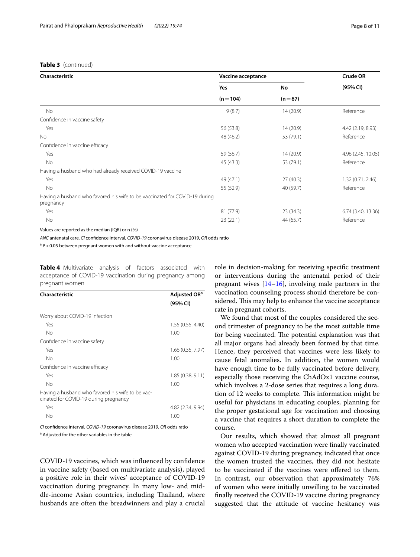## **Table 3** (continued)

| Characteristic                                                                          |             | Vaccine acceptance |                    |
|-----------------------------------------------------------------------------------------|-------------|--------------------|--------------------|
|                                                                                         | Yes         | No                 | (95% CI)           |
|                                                                                         | $(n = 104)$ | $(n=67)$           |                    |
| No                                                                                      | 9(8.7)      | 14(20.9)           | Reference          |
| Confidence in vaccine safety                                                            |             |                    |                    |
| Yes                                                                                     | 56 (53.8)   | 14(20.9)           | 4.42 (2.19, 8.93)  |
| <b>No</b>                                                                               | 48 (46.2)   | 53 (79.1)          | Reference          |
| Confidence in vaccine efficacy                                                          |             |                    |                    |
| Yes                                                                                     | 59 (56.7)   | 14(20.9)           | 4.96 (2.45, 10.05) |
| No                                                                                      | 45 (43.3)   | 53 (79.1)          | Reference          |
| Having a husband who had already received COVID-19 vaccine                              |             |                    |                    |
| Yes                                                                                     | 49 (47.1)   | 27(40.3)           | 1.32(0.71, 2.46)   |
| No                                                                                      | 55 (52.9)   | 40 (59.7)          | Reference          |
| Having a husband who favored his wife to be vaccinated for COVID-19 during<br>pregnancy |             |                    |                    |
| Yes                                                                                     | 81 (77.9)   | 23(34.3)           | 6.74 (3.40, 13.36) |
| No                                                                                      | 23(22.1)    | 44 (65.7)          | Reference          |

Values are reported as the median (IQR) or n (%)

*ANC* antenatal care, *CI* confdence interval, *COVID-19* coronavirus disease 2019, *OR* odds ratio

<sup>a</sup> P > 0.05 between pregnant women with and without vaccine acceptance

<span id="page-7-0"></span>**Table 4** Multivariate analysis of factors associated with acceptance of COVID-19 vaccination during pregnancy among pregnant women

| Characteristic                                                                            | Adjusted OR <sup>a</sup> |  |
|-------------------------------------------------------------------------------------------|--------------------------|--|
|                                                                                           | (95% CI)                 |  |
| Worry about COVID-19 infection                                                            |                          |  |
| Yes                                                                                       | 1.55(0.55, 4.40)         |  |
| No                                                                                        | 1.00                     |  |
| Confidence in vaccine safety                                                              |                          |  |
| Yes                                                                                       | 1.66 (0.35, 7.97)        |  |
| No                                                                                        | 1.00                     |  |
| Confidence in vaccine efficacy                                                            |                          |  |
| Yes                                                                                       | 1.85(0.38, 9.11)         |  |
| No                                                                                        | 1.00                     |  |
| Having a husband who favored his wife to be vac-<br>cinated for COVID-19 during pregnancy |                          |  |
| Yes                                                                                       | 4.82 (2.34, 9.94)        |  |
| No                                                                                        | 1.00                     |  |

*CI* confdence interval, *COVID-19* coronavirus disease 2019, *OR* odds ratio

<sup>a</sup> Adjusted for the other variables in the table

COVID-19 vaccines, which was infuenced by confdence in vaccine safety (based on multivariate analysis), played a positive role in their wives' acceptance of COVID-19 vaccination during pregnancy. In many low- and middle-income Asian countries, including Thailand, where husbands are often the breadwinners and play a crucial role in decision-making for receiving specifc treatment or interventions during the antenatal period of their pregnant wives [\[14–](#page-10-7)[16\]](#page-10-8), involving male partners in the vaccination counseling process should therefore be considered. This may help to enhance the vaccine acceptance rate in pregnant cohorts.

We found that most of the couples considered the second trimester of pregnancy to be the most suitable time for being vaccinated. The potential explanation was that all major organs had already been formed by that time. Hence, they perceived that vaccines were less likely to cause fetal anomalies. In addition, the women would have enough time to be fully vaccinated before delivery, especially those receiving the ChAdOx1 vaccine course, which involves a 2-dose series that requires a long duration of 12 weeks to complete. This information might be useful for physicians in educating couples, planning for the proper gestational age for vaccination and choosing a vaccine that requires a short duration to complete the course.

Our results, which showed that almost all pregnant women who accepted vaccination were fnally vaccinated against COVID-19 during pregnancy, indicated that once the women trusted the vaccines, they did not hesitate to be vaccinated if the vaccines were offered to them. In contrast, our observation that approximately 76% of women who were initially unwilling to be vaccinated fnally received the COVID-19 vaccine during pregnancy suggested that the attitude of vaccine hesitancy was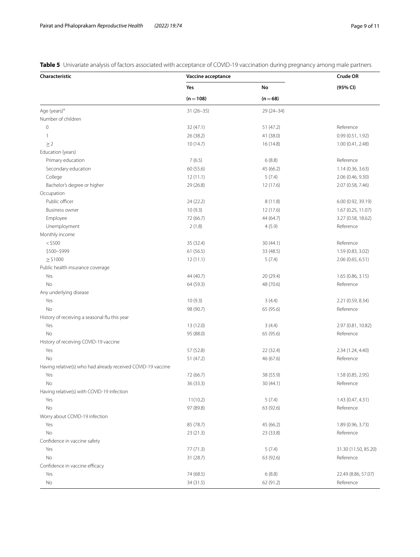<span id="page-8-0"></span>**Table 5** Univariate analysis of factors associated with acceptance of COVID-19 vaccination during pregnancy among male partners

| Characteristic                                               | Vaccine acceptance |             | Crude OR             |
|--------------------------------------------------------------|--------------------|-------------|----------------------|
|                                                              | Yes                | No          | (95% CI)             |
|                                                              | $(n = 108)$        | $(n=68)$    |                      |
| Age (years) <sup>a</sup>                                     | $31(26-35)$        | $29(24-34)$ |                      |
| Number of children                                           |                    |             |                      |
| $\circ$                                                      | 32 (47.1)          | 51 (47.2)   | Reference            |
| 1                                                            | 26 (38.2)          | 41 (38.0)   | 0.99 (0.51, 1.92)    |
| $\geq$ 2                                                     | 10(14.7)           | 16 (14.8)   | 1.00 (0.41, 2.48)    |
| Education (years)                                            |                    |             |                      |
| Primary education                                            | 7(6.5)             | 6(8.8)      | Reference            |
| Secondary education                                          | 60 (55.6)          | 45 (66.2)   | 1.14 (0.36, 3.63)    |
| College                                                      | 12(11.1)           | 5(7.4)      | 2.06 (0.46, 9.30)    |
| Bachelor's degree or higher                                  | 29 (26.8)          | 12 (17.6)   | 2.07 (0.58, 7.46)    |
| Occupation                                                   |                    |             |                      |
| Public officer                                               | 24 (22.2)          | 8(11.8)     | 6.00 (0.92, 39.19)   |
| <b>Business owner</b>                                        | 10(9.3)            | 12 (17.6)   | 1.67 (0.25, 11.07)   |
| Employee                                                     | 72 (66.7)          | 44 (64.7)   | 3.27 (0.58, 18.62)   |
| Unemployment                                                 | 2(1.8)             | 4(5.9)      | Reference            |
| Monthly income                                               |                    |             |                      |
| $<$ \$500                                                    | 35 (32.4)          | 30(44.1)    | Reference            |
| \$500-\$999                                                  | 61 (56.5)          | 33 (48.5)   | 1.59 (0.83, 3.02)    |
| $\geq$ \$1000                                                | 12(11.1)           | 5(7.4)      | 2.06(0.65, 6.51)     |
| Public health insurance coverage                             |                    |             |                      |
| Yes                                                          | 44 (40.7)          | 20 (29.4)   | 1.65(0.86, 3.15)     |
| No                                                           | 64 (59.3)          | 48 (70.6)   | Reference            |
| Any underlying disease                                       |                    |             |                      |
| Yes                                                          | 10(9.3)            | 3(4.4)      | 2.21 (0.59, 8.34)    |
| No                                                           | 98 (90.7)          | 65 (95.6)   | Reference            |
| History of receiving a seasonal flu this year                |                    |             |                      |
| Yes                                                          | 13 (12.0)          | 3(4.4)      | 2.97 (0.81, 10.82)   |
| No                                                           | 95 (88.0)          | 65 (95.6)   | Reference            |
| History of receiving COVID-19 vaccine                        |                    |             |                      |
| Yes                                                          | 57 (52.8)          | 22 (32.4)   | 2.34 (1.24, 4.40)    |
| No                                                           | 51 (47.2)          | 46 (67.6)   | Reference            |
| Having relative(s) who had already received COVID-19 vaccine |                    |             |                      |
| Yes                                                          | 72 (66.7)          | 38 (55.9)   | 1.58 (0.85, 2.95)    |
| No                                                           | 36 (33.3)          | 30 (44.1)   | Reference            |
| Having relative(s) with COVID-19 infection                   |                    |             |                      |
| Yes                                                          | 11(10.2)           | 5(7.4)      | 1.43 (0.47, 4.31)    |
| No                                                           | 97 (89.8)          | 63 (92.6)   | Reference            |
| Worry about COVID-19 infection                               |                    |             |                      |
| Yes                                                          | 85 (78.7)          | 45 (66.2)   | 1.89 (0.96, 3.73)    |
| No                                                           | 23(21.3)           | 23 (33.8)   | Reference            |
| Confidence in vaccine safety                                 |                    |             |                      |
| Yes                                                          | 77 (71.3)          | 5(7.4)      | 31.30 (11.50, 85.20) |
| No                                                           | 31(28.7)           | 63 (92.6)   | Reference            |
| Confidence in vaccine efficacy                               |                    |             |                      |
| Yes                                                          | 74 (68.5)          | 6(8.8)      | 22.49 (8.86, 57.07)  |
| No                                                           | 34 (31.5)          | 62 (91.2)   | Reference            |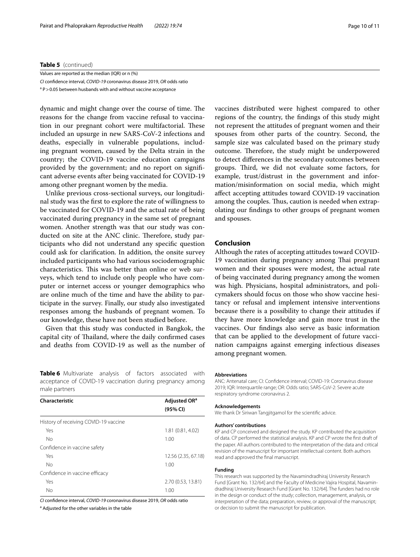#### **Table 5** (continued)

| Values are reported as the median (IQR) or n (%)                           |
|----------------------------------------------------------------------------|
| Cl confidence interval. COVID-19 coronavirus disease 2019. OR odds ratio   |
| <sup>a</sup> P > 0.05 between husbands with and without vaccine acceptance |

dynamic and might change over the course of time. The reasons for the change from vaccine refusal to vaccination in our pregnant cohort were multifactorial. These included an upsurge in new SARS-CoV-2 infections and deaths, especially in vulnerable populations, including pregnant women, caused by the Delta strain in the country; the COVID-19 vaccine education campaigns provided by the government; and no report on signifcant adverse events after being vaccinated for COVID-19 among other pregnant women by the media.

Unlike previous cross-sectional surveys, our longitudinal study was the frst to explore the rate of willingness to be vaccinated for COVID-19 and the actual rate of being vaccinated during pregnancy in the same set of pregnant women. Another strength was that our study was conducted on site at the ANC clinic. Therefore, study participants who did not understand any specifc question could ask for clarifcation. In addition, the onsite survey included participants who had various sociodemographic characteristics. This was better than online or web surveys, which tend to include only people who have computer or internet access or younger demographics who are online much of the time and have the ability to participate in the survey. Finally, our study also investigated responses among the husbands of pregnant women. To our knowledge, these have not been studied before.

Given that this study was conducted in Bangkok, the capital city of Thailand, where the daily confirmed cases and deaths from COVID-19 as well as the number of

<span id="page-9-0"></span>**Table 6** Multivariate analysis of factors associated with acceptance of COVID-19 vaccination during pregnancy among male partners

| Characteristic                        | Adjusted OR <sup>a</sup><br>(95% CI) |
|---------------------------------------|--------------------------------------|
| History of receiving COVID-19 vaccine |                                      |
| Yes                                   | 1.81 (0.81, 4.02)                    |
| No                                    | 1.00                                 |
| Confidence in vaccine safety          |                                      |
| Yes                                   | 12.56 (2.35, 67.18)                  |
| No                                    | 1.00                                 |
| Confidence in vaccine efficacy        |                                      |
| Yes                                   | 2.70 (0.53, 13.81)                   |
| No                                    | 1.00                                 |

*CI* confdence interval, *COVID-19* coronavirus disease 2019, *OR* odds ratio

<sup>a</sup> Adjusted for the other variables in the table

vaccines distributed were highest compared to other regions of the country, the fndings of this study might not represent the attitudes of pregnant women and their spouses from other parts of the country. Second, the sample size was calculated based on the primary study outcome. Therefore, the study might be underpowered to detect diferences in the secondary outcomes between groups. Third, we did not evaluate some factors, for example, trust/distrust in the government and information/misinformation on social media, which might afect accepting attitudes toward COVID-19 vaccination among the couples. Thus, caution is needed when extrapolating our fndings to other groups of pregnant women and spouses.

#### **Conclusion**

Although the rates of accepting attitudes toward COVID-19 vaccination during pregnancy among Thai pregnant women and their spouses were modest, the actual rate of being vaccinated during pregnancy among the women was high. Physicians, hospital administrators, and policymakers should focus on those who show vaccine hesitancy or refusal and implement intensive interventions because there is a possibility to change their attitudes if they have more knowledge and gain more trust in the vaccines. Our fndings also serve as basic information that can be applied to the development of future vaccination campaigns against emerging infectious diseases among pregnant women.

#### **Abbreviations**

ANC: Antenatal care; CI: Confdence interval; COVID-19: Coronavirus disease 2019; IQR: Interquartile range; OR: Odds ratio; SARS-CoV-2: Severe acute respiratory syndrome coronavirus 2.

#### **Acknowledgements**

We thank Dr Siriwan Tangjitgamol for the scientifc advice.

#### **Authors' contributions**

KP and CP conceived and designed the study. KP contributed the acquisition of data. CP performed the statistical analysis. KP and CP wrote the frst draft of the paper. All authors contributed to the interpretation of the data and critical revision of the manuscript for important intellectual content. Both authors read and approved the fnal manuscript.

#### **Funding**

This research was supported by the Navamindradhiraj University Research Fund [Grant No. 132/64] and the Faculty of Medicine Vajira Hospital, Navamindradhiraj University Research Fund [Grant No. 132/64]. The funders had no role in the design or conduct of the study; collection, management, analysis, or interpretation of the data; preparation, review, or approval of the manuscript; or decision to submit the manuscript for publication.